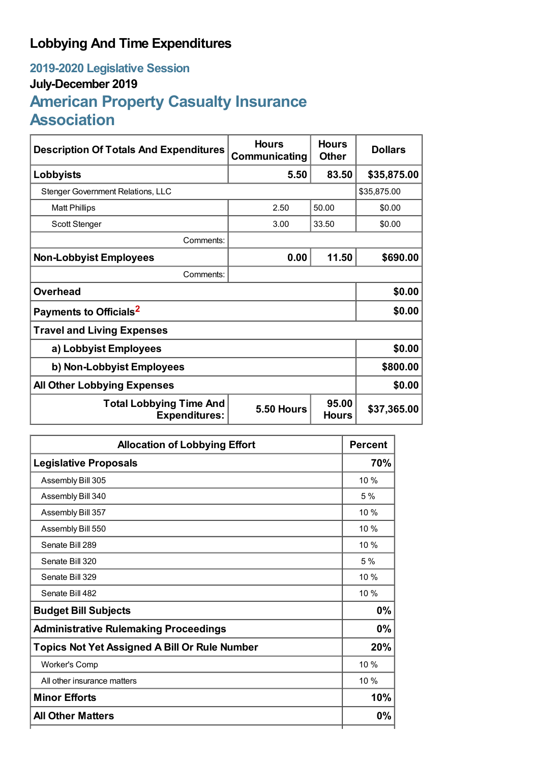## **Lobbying And Time Expenditures**

## **2019-2020 Legislative Session July-December 2019 American Property Casualty Insurance Association**

| <b>Description Of Totals And Expenditures</b>          | <b>Hours</b><br>Communicating | <b>Hours</b><br><b>Other</b> | <b>Dollars</b> |  |
|--------------------------------------------------------|-------------------------------|------------------------------|----------------|--|
| Lobbyists                                              | 5.50                          | 83.50                        | \$35,875.00    |  |
| <b>Stenger Government Relations, LLC</b>               |                               |                              | \$35,875.00    |  |
| <b>Matt Phillips</b>                                   | 2.50                          | 50.00                        | \$0.00         |  |
| Scott Stenger                                          | 3.00                          | 33.50                        | \$0.00         |  |
| Comments:                                              |                               |                              |                |  |
| <b>Non-Lobbyist Employees</b>                          | 0.00                          | 11.50                        | \$690.00       |  |
| Comments:                                              |                               |                              |                |  |
| <b>Overhead</b>                                        |                               |                              | \$0.00         |  |
| Payments to Officials <sup>2</sup>                     |                               |                              | \$0.00         |  |
| <b>Travel and Living Expenses</b>                      |                               |                              |                |  |
| a) Lobbyist Employees                                  |                               |                              | \$0.00         |  |
| b) Non-Lobbyist Employees                              |                               |                              | \$800.00       |  |
| <b>All Other Lobbying Expenses</b>                     |                               |                              | \$0.00         |  |
| <b>Total Lobbying Time And</b><br><b>Expenditures:</b> | 5.50 Hours                    | 95.00<br><b>Hours</b>        | \$37,365.00    |  |

| <b>Allocation of Lobbying Effort</b>                 | <b>Percent</b> |
|------------------------------------------------------|----------------|
| <b>Legislative Proposals</b>                         | 70%            |
| Assembly Bill 305                                    | 10%            |
| Assembly Bill 340                                    | 5%             |
| Assembly Bill 357                                    | 10%            |
| Assembly Bill 550                                    | 10%            |
| Senate Bill 289                                      | 10%            |
| Senate Bill 320                                      | 5%             |
| Senate Bill 329                                      | 10%            |
| Senate Bill 482                                      | 10%            |
| <b>Budget Bill Subjects</b>                          | 0%             |
| <b>Administrative Rulemaking Proceedings</b>         | 0%             |
| <b>Topics Not Yet Assigned A Bill Or Rule Number</b> | 20%            |
| <b>Worker's Comp</b>                                 | 10%            |
| All other insurance matters                          | 10%            |
| <b>Minor Efforts</b>                                 | 10%            |
| <b>All Other Matters</b>                             | 0%             |